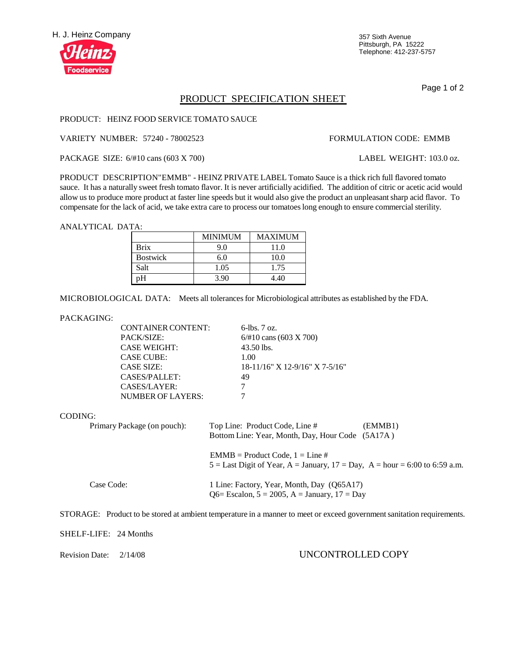

Pittsburgh, PA 15222 Telephone: 412-237-5757

Page 1 of 2

# PRODUCT SPECIFICATION SHEET

### PRODUCT: HEINZ FOOD SERVICE TOMATO SAUCE

VARIETY NUMBER: 57240 - 78002523 FORMULATION CODE: EMMB

PACKAGE SIZE: 6/#10 cans (603 X 700) LABEL WEIGHT: 103.0 oz.

PRODUCT DESCRIPTION"EMMB" - HEINZ PRIVATE LABEL Tomato Sauce is a thick rich full flavored tomato sauce. It has a naturally sweet fresh tomato flavor. It is never artificially acidified. The addition of citric or acetic acid would allow us to produce more product at faster line speeds but it would also give the product an unpleasantsharp acid flavor. To compensate for the lack of acid, we take extra care to process our tomatoeslong enough to ensure commercialsterility.

ANALYTICAL DATA:

|                 | <b>MINIMUM</b> | <b>MAXIMUM</b> |
|-----------------|----------------|----------------|
| <b>Brix</b>     | 9.0            | 11.0           |
| <b>Bostwick</b> | 6.0            | 10.0           |
| Salt            | 1.05           | 1.75           |
| pΗ              | 3.90           | 4.40           |

MICROBIOLOGICAL DATA: Meets all tolerancesfor Microbiological attributes as established by the FDA.

### PACKAGING:

| <b>CONTAINER CONTENT:</b> | $6$ -lbs. $7 \text{ oz}$ .        |
|---------------------------|-----------------------------------|
| <b>PACK/SIZE:</b>         | $6/#10$ cans (603 X 700)          |
| <b>CASE WEIGHT:</b>       | 43.50 lbs.                        |
| <b>CASE CUBE:</b>         | 1.00                              |
| <b>CASE SIZE:</b>         | $18-11/16$ " X 12-9/16" X 7-5/16" |
| CASES/PALLET:             | 49                                |
| CASES/LAYER:              |                                   |
| NUMBER OF LAYERS:         |                                   |

### CODING:

| Primary Package (on pouch): | Top Line: Product Code, Line #<br>Bottom Line: Year, Month, Day, Hour Code (5A17A)                                   | (EMMB1) |
|-----------------------------|----------------------------------------------------------------------------------------------------------------------|---------|
|                             | $EMMB = Product Code, 1 = Line #$<br>$5 =$ Last Digit of Year, A = January, $17 =$ Day, A = hour = 6:00 to 6:59 a.m. |         |
| Case Code:                  | 1 Line: Factory, Year, Month, Day (Q65A17)<br>Q6= Escalon, $5 = 2005$ , A = January, $17 = Day$                      |         |

STORAGE: Product to be stored at ambient temperature in a manner to meet or exceed governmentsanitation requirements.

SHELF-LIFE: 24 Months

## Revision Date: 2/14/08 UNCONTROLLED COPY